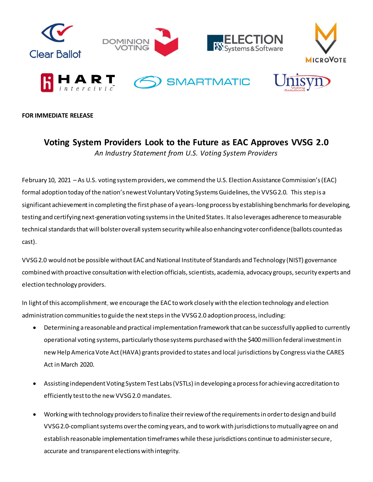

**FOR IMMEDIATE RELEASE**

## **Voting System Providers Look to the Future as EAC Approves VVSG 2.0** *An Industry Statement from U.S. Voting System Providers*

February 10, 2021 – As U.S. voting system providers, we commend the U.S. Election Assistance Commission's (EAC) formal adoption today of the nation's newest Voluntary Voting Systems Guidelines, the VVSG 2.0. This step is a significant achievement in completing the first phase of a years-long process by establishing benchmarks for developing, testing and certifying next-generation voting systemsin the United States. It also leverages adherence to measurable technical standards that will bolster overall system security while also enhancing voter confidence (ballots counted as cast).

VVSG 2.0 would not be possible without EAC and National Institute of Standards and Technology (NIST) governance combined with proactive consultation with election officials, scientists, academia, advocacy groups, security experts and election technology providers.

In light of this accomplishment, we encourage the EAC to work closely with the election technology and election administration communities to guide the next steps in the VVSG 2.0 adoption process, including:

- Determining a reasonable and practical implementation framework that can be successfully applied to currently operational voting systems, particularly those systems purchased with the \$400 million federal investment in new Help America Vote Act (HAVA) grants provided to states and local jurisdictions by Congress via the CARES Act in March 2020.
- Assisting independent Voting System Test Labs (VSTLs) in developing a process for achieving accreditation to efficiently test to the new VVSG 2.0 mandates.
- Working with technology providers to finalize their review of the requirements in order to design and build VVSG 2.0-compliant systems over the coming years, and to work with jurisdictions to mutually agree on and establish reasonable implementation timeframes while these jurisdictions continue to administer secure, accurate and transparent elections with integrity.